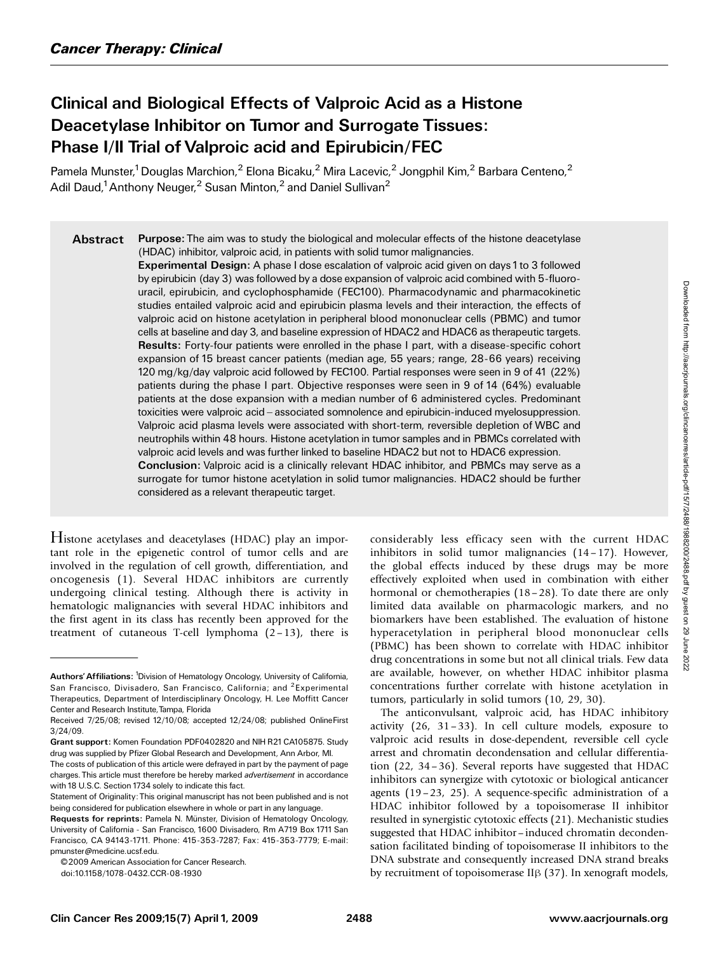# Clinical and Biological Effects of Valproic Acid as a Histone Deacetylase Inhibitor on Tumor and Surrogate Tissues: Phase I/II Trial of Valproic acid and Epirubicin/FEC

Pamela Munster,<sup>1</sup> Douglas Marchion,<sup>2</sup> Elona Bicaku,<sup>2</sup> Mira Lacevic,<sup>2</sup> Jongphil Kim,<sup>2</sup> Barbara Centeno,<sup>2</sup> Adil Daud,<sup>1</sup> Anthony Neuger,<sup>2</sup> Susan Minton,<sup>2</sup> and Daniel Sullivan<sup>2</sup>

Abstract Purpose: The aim was to study the biological and molecular effects of the histone deacetylase (HDAC) inhibitor, valproic acid, in patients with solid tumor malignancies.

> Experimental Design: A phase I dose escalation of valproic acid given on days 1 to 3 followed by epirubicin (day 3) was followed by a dose expansion of valproic acid combined with 5-fluorouracil, epirubicin, and cyclophosphamide (FEC100). Pharmacodynamic and pharmacokinetic studies entailed valproic acid and epirubicin plasma levels and their interaction, the effects of valproic acid on histone acetylation in peripheral blood mononuclear cells (PBMC) and tumor cells at baseline and day 3, and baseline expression of HDAC2 and HDAC6 as therapeutic targets. Results: Forty-four patients were enrolled in the phase I part, with a disease-specific cohort expansion of 15 breast cancer patients (median age, 55 years; range, 28-66 years) receiving 120 mg/kg/day valproic acid followed by FEC100. Partial responses were seen in 9 of 41 (22%) patients during the phase I part. Objective responses were seen in 9 of 14 (64%) evaluable patients at the dose expansion with a median number of 6 administered cycles. Predominant toxicities were valproic acid – associated somnolence and epirubicin-induced myelosuppression. Valproic acid plasma levels were associated with short-term, reversible depletion of WBC and neutrophils within 48 hours. Histone acetylation in tumor samples and in PBMCs correlated with valproic acid levels and was further linked to baseline HDAC2 but not to HDAC6 expression. **Conclusion:** Valproic acid is a clinically relevant HDAC inhibitor, and PBMCs may serve as a surrogate for tumor histone acetylation in solid tumor malignancies. HDAC2 should be further considered as a relevant therapeutic target.

Histone acetylases and deacetylases (HDAC) play an important role in the epigenetic control of tumor cells and are involved in the regulation of cell growth, differentiation, and oncogenesis (1). Several HDAC inhibitors are currently undergoing clinical testing. Although there is activity in hematologic malignancies with several HDAC inhibitors and the first agent in its class has recently been approved for the treatment of cutaneous T-cell lymphoma  $(2-13)$ , there is

©2009 American Association for Cancer Research

doi:10.1158/1078-0432.CCR-08-1930

considerably less efficacy seen with the current HDAC inhibitors in solid tumor malignancies (14 – 17). However, the global effects induced by these drugs may be more effectively exploited when used in combination with either hormonal or chemotherapies (18-28). To date there are only limited data available on pharmacologic markers, and no biomarkers have been established. The evaluation of histone hyperacetylation in peripheral blood mononuclear cells (PBMC) has been shown to correlate with HDAC inhibitor drug concentrations in some but not all clinical trials. Few data are available, however, on whether HDAC inhibitor plasma concentrations further correlate with histone acetylation in tumors, particularly in solid tumors (10, 29, 30).

The anticonvulsant, valproic acid, has HDAC inhibitory activity  $(26, 31-33)$ . In cell culture models, exposure to valproic acid results in dose-dependent, reversible cell cycle arrest and chromatin decondensation and cellular differentiation (22, 34– 36). Several reports have suggested that HDAC inhibitors can synergize with cytotoxic or biological anticancer agents (19 –23, 25). A sequence-specific administration of a HDAC inhibitor followed by a topoisomerase II inhibitor resulted in synergistic cytotoxic effects (21). Mechanistic studies suggested that HDAC inhibitor-induced chromatin decondensation facilitated binding of topoisomerase II inhibitors to the DNA substrate and consequently increased DNA strand breaks by recruitment of topoisomerase II $\beta$  (37). In xenograft models,

Authors' Affiliations: <sup>1</sup>Division of Hematology Oncology, University of California, San Francisco, Divisadero, San Francisco, California; and <sup>2</sup>Experimental Therapeutics, Department of Interdisciplinary Oncology, H. Lee Moffitt Cancer Center and Research Institute, Tampa, Florida

Received 7/25/08; revised 12/10/08; accepted 12/24/08; published OnlineFirst 3/24/09.

Grant support: Komen Foundation PDF0402820 and NIH R21CA105875. Study drug was supplied by Pfizer Global Research and Development, Ann Arbor, MI.

The costs of publication of this article were defrayed in part by the payment of page charges. This article must therefore be hereby marked advertisement in accordance with 18 U.S.C. Section 1734 solely to indicate this fact.

Statement of Originality: This original manuscript has not been published and is not being considered for publication elsewhere in whole or part in any language.

Requests for reprints: Pamela N. Münster, Division of Hematology Oncology, University of California - San Francisco, 1600 Divisadero, Rm A719 Box 1711 San Francisco, CA 94143-1711. Phone: 415-353-7287; Fax: 415-353-7779; E-mail: pmunster@medicine.ucsf.edu.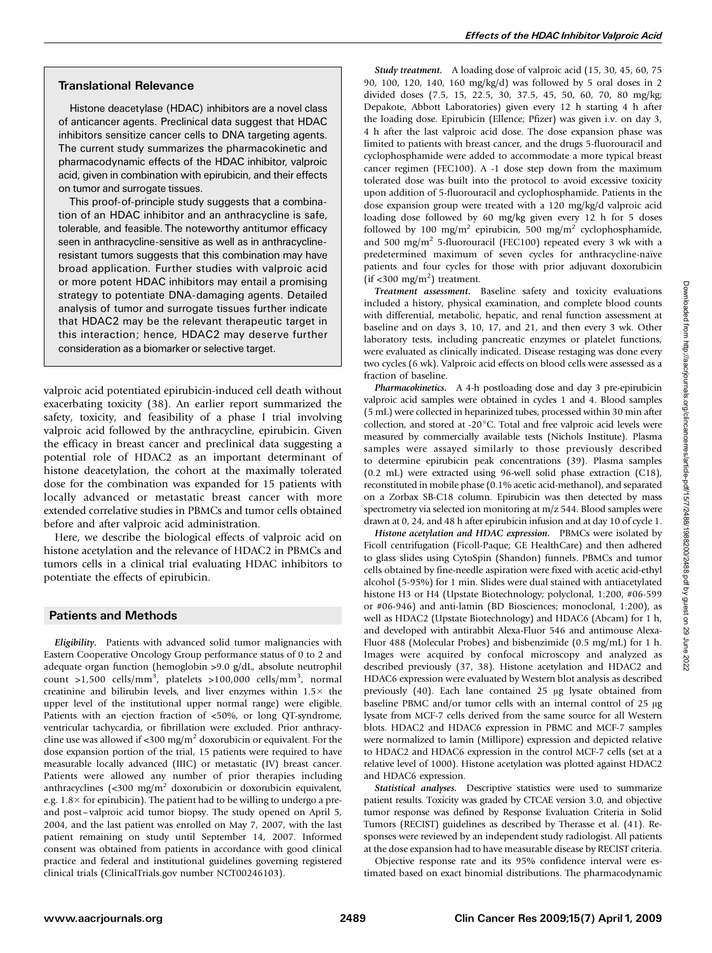## Translational Relevance

Histone deacetylase (HDAC) inhibitors are a novel class of anticancer agents. Preclinical data suggest that HDAC inhibitors sensitize cancer cells to DNA targeting agents. The current study summarizes the pharmacokinetic and pharmacodynamic effects of the HDAC inhibitor, valproic acid, given in combination with epirubicin, and their effects on tumor and surrogate tissues.

This proof-of-principle study suggests that a combination of an HDAC inhibitor and an anthracycline is safe, tolerable, and feasible. The noteworthy antitumor efficacy seen in anthracycline-sensitive as well as in anthracyclineresistant tumors suggests that this combination may have broadapplication. Further studies with valproic acid or more potent HDAC inhibitors may entail a promising strategy to potentiate DNA-damaging agents. Detailed analysis of tumor and surrogate tissues further indicate that HDAC2 may be the relevant therapeutic target in this interaction; hence, HDAC2 may deserve further consideration as a biomarker or selective target.

valproic acid potentiated epirubicin-induced cell death without exacerbating toxicity (38). An earlier report summarized the safety, toxicity, and feasibility of a phase I trial involving valproic acid followed by the anthracycline, epirubicin. Given the efficacy in breast cancer and preclinical data suggesting a potential role of HDAC2 as an important determinant of histone deacetylation, the cohort at the maximally tolerated dose for the combination was expanded for 15 patients with locally advanced or metastatic breast cancer with more extended correlative studies in PBMCs and tumor cells obtained before and after valproic acid administration.

Here, we describe the biological effects of valproic acid on histone acetylation and the relevance of HDAC2 in PBMCs and tumors cells in a clinical trial evaluating HDAC inhibitors to potentiate the effects of epirubicin.

## Patients and Methods

Eligibility. Patients with advanced solid tumor malignancies with Eastern Cooperative Oncology Group performance status of 0 to 2 and adequate organ function (hemoglobin >9.0 g/dL, absolute neutrophil count >1,500 cells/mm<sup>3</sup>, platelets >100,000 cells/mm<sup>3</sup>, normal creatinine and bilirubin levels, and liver enzymes within  $1.5\times$  the upper level of the institutional upper normal range) were eligible. Patients with an ejection fraction of <50%, or long QT-syndrome, ventricular tachycardia, or fibrillation were excluded. Prior anthracycline use was allowed if <300 mg/m<sup>2</sup> doxorubicin or equivalent. For the dose expansion portion of the trial, 15 patients were required to have measurable locally advanced (IIIC) or metastatic (IV) breast cancer. Patients were allowed any number of prior therapies including anthracyclines (<300 mg/m2 doxorubicin or doxorubicin equivalent, e.g.  $1.8 \times$  for epirubicin). The patient had to be willing to undergo a preand post – valproic acid tumor biopsy. The study opened on April 5, 2004, and the last patient was enrolled on May 7, 2007, with the last patient remaining on study until September 14, 2007. Informed consent was obtained from patients in accordance with good clinical practice and federal and institutional guidelines governing registered clinical trials (ClinicalTrials.gov number NCT00246103).

Study treatment. A loading dose of valproic acid (15, 30, 45, 60, 75 90, 100, 120, 140, 160 mg/kg/d) was followed by 5 oral doses in 2 divided doses (7.5, 15, 22.5, 30, 37.5, 45, 50, 60, 70, 80 mg/kg; Depakote, Abbott Laboratories) given every 12 h starting 4 h after the loading dose. Epirubicin (Ellence; Pfizer) was given i.v. on day 3, 4 h after the last valproic acid dose. The dose expansion phase was limited to patients with breast cancer, and the drugs 5-fluorouracil and cyclophosphamide were added to accommodate a more typical breast cancer regimen (FEC100). A -1 dose step down from the maximum tolerated dose was built into the protocol to avoid excessive toxicity upon addition of 5-fluorouracil and cyclophosphamide. Patients in the dose expansion group were treated with a 120 mg/kg/d valproic acid loading dose followed by 60 mg/kg given every 12 h for 5 doses followed by 100 mg/m<sup>2</sup> epirubicin, 500 mg/m<sup>2</sup> cyclophosphamide, and 500 mg/m<sup>2</sup> 5-fluorouracil (FEC100) repeated every 3 wk with a predetermined maximum of seven cycles for anthracycline-naïve patients and four cycles for those with prior adjuvant doxorubicin  $(if < 300$  mg/m<sup>2</sup>) treatment.

Treatment assessment. Baseline safety and toxicity evaluations included a history, physical examination, and complete blood counts with differential, metabolic, hepatic, and renal function assessment at baseline and on days 3, 10, 17, and 21, and then every 3 wk. Other laboratory tests, including pancreatic enzymes or platelet functions, were evaluated as clinically indicated. Disease restaging was done every two cycles (6 wk). Valproic acid effects on blood cells were assessed as a fraction of baseline.

Pharmacokinetics. A 4-h postloading dose and day 3 pre-epirubicin valproic acid samples were obtained in cycles 1 and 4. Blood samples (5 mL) were collected in heparinized tubes, processed within 30 min after collection, and stored at -20°C. Total and free valproic acid levels were measured by commercially available tests (Nichols Institute). Plasma samples were assayed similarly to those previously described to determine epirubicin peak concentrations (39). Plasma samples (0.2 mL) were extracted using 96-well solid phase extraction (C18), reconstituted in mobile phase (0.1% acetic acid-methanol), and separated on a Zorbax SB-C18 column. Epirubicin was then detected by mass spectrometry via selected ion monitoring at m/z 544. Blood samples were drawn at 0, 24, and 48 h after epirubicin infusion and at day 10 of cycle 1.

Histone acetylation and HDAC expression. PBMCs were isolated by Ficoll centrifugation (Ficoll-Paque; GE HealthCare) and then adhered to glass slides using CytoSpin (Shandon) funnels. PBMCs and tumor cells obtained by fine-needle aspiration were fixed with acetic acid-ethyl alcohol (5-95%) for 1 min. Slides were dual stained with antiacetylated histone H3 or H4 (Upstate Biotechnology; polyclonal, 1:200, #06-599 or #06-946) and anti-lamin (BD Biosciences; monoclonal, 1:200), as well as HDAC2 (Upstate Biotechnology) and HDAC6 (Abcam) for 1 h, and developed with antirabbit Alexa-Fluor 546 and antimouse Alexa-Fluor 488 (Molecular Probes) and bisbenzimide (0.5 mg/mL) for 1 h. Images were acquired by confocal microscopy and analyzed as described previously (37, 38). Histone acetylation and HDAC2 and HDAC6 expression were evaluated by Western blot analysis as described previously  $(40)$ . Each lane contained 25  $\mu$ g lysate obtained from baseline PBMC and/or tumor cells with an internal control of  $25 \mu g$ lysate from MCF-7 cells derived from the same source for all Western blots. HDAC2 and HDAC6 expression in PBMC and MCF-7 samples were normalized to lamin (Millipore) expression and depicted relative to HDAC2 and HDAC6 expression in the control MCF-7 cells (set at a relative level of 1000). Histone acetylation was plotted against HDAC2 and HDAC6 expression.

Statistical analyses. Descriptive statistics were used to summarize patient results. Toxicity was graded by CTCAE version 3.0, and objective tumor response was defined by Response Evaluation Criteria in Solid Tumors (RECIST) guidelines as described by Therasse et al. (41). Responses were reviewed by an independent study radiologist. All patients at the dose expansion had to have measurable disease by RECIST criteria.

Objective response rate and its 95% confidence interval were estimated based on exact binomial distributions. The pharmacodynamic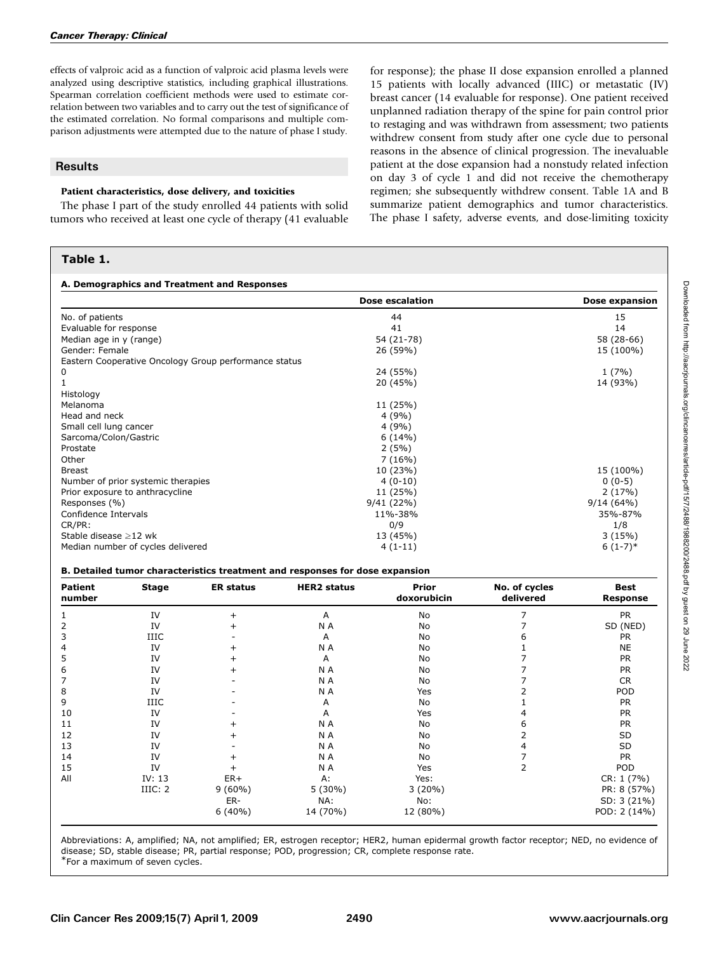effects of valproic acid as a function of valproic acid plasma levels were analyzed using descriptive statistics, including graphical illustrations. Spearman correlation coefficient methods were used to estimate correlation between two variables and to carry out the test of significance of the estimated correlation. No formal comparisons and multiple comparison adjustments were attempted due to the nature of phase I study.

## **Results**

### Patient characteristics, dose delivery, and toxicities

The phase I part of the study enrolled 44 patients with solid tumors who received at least one cycle of therapy (41 evaluable

## Table 1.

for response); the phase II dose expansion enrolled a planned 15 patients with locally advanced (IIIC) or metastatic (IV) breast cancer (14 evaluable for response). One patient received unplanned radiation therapy of the spine for pain control prior to restaging and was withdrawn from assessment; two patients withdrew consent from study after one cycle due to personal reasons in the absence of clinical progression. The inevaluable patient at the dose expansion had a nonstudy related infection on day 3 of cycle 1 and did not receive the chemotherapy regimen; she subsequently withdrew consent. Table 1A and B summarize patient demographics and tumor characteristics. The phase I safety, adverse events, and dose-limiting toxicity

| A. Demographics and Treatment and Responses           |                        |                |  |  |
|-------------------------------------------------------|------------------------|----------------|--|--|
|                                                       | <b>Dose escalation</b> | Dose expansion |  |  |
| No. of patients                                       | 44                     | 15             |  |  |
| Evaluable for response                                | 41                     | 14             |  |  |
| Median age in y (range)                               | 54 (21-78)             | 58 (28-66)     |  |  |
| Gender: Female                                        | 26 (59%)               | 15 (100%)      |  |  |
| Eastern Cooperative Oncology Group performance status |                        |                |  |  |
| 0                                                     | 24 (55%)               | 1(7%)          |  |  |
|                                                       | 20 (45%)               | 14 (93%)       |  |  |
| Histology                                             |                        |                |  |  |
| Melanoma                                              | 11 (25%)               |                |  |  |
| Head and neck                                         | 4(9%)                  |                |  |  |
| Small cell lung cancer                                | 4(9%)                  |                |  |  |
| Sarcoma/Colon/Gastric                                 | 6(14%)                 |                |  |  |
| Prostate                                              | 2(5%)                  |                |  |  |
| Other                                                 | 7(16%)                 |                |  |  |
| <b>Breast</b>                                         | 10 (23%)               | 15 (100%)      |  |  |
| Number of prior systemic therapies                    | $4(0-10)$              | $0(0-5)$       |  |  |
| Prior exposure to anthracycline                       | 11 (25%)               | 2(17%)         |  |  |
| Responses (%)                                         | 9/41 (22%)             | 9/14(64%)      |  |  |
| Confidence Intervals                                  | 11%-38%                | 35%-87%        |  |  |
| CR/PR:                                                | 0/9                    | 1/8            |  |  |
| Stable disease $\geq$ 12 wk                           | 13 (45%)               | 3(15%)         |  |  |
| Median number of cycles delivered                     | $4(1-11)$              | $6(1-7)*$      |  |  |

#### B. Detailed tumor characteristics treatment and responses for dose expansion

| <b>Patient</b><br>number | <b>Stage</b> | <b>ER status</b> | <b>HER2</b> status | <b>Prior</b><br>doxorubicin | No. of cycles<br>delivered | <b>Best</b><br><b>Response</b> |
|--------------------------|--------------|------------------|--------------------|-----------------------------|----------------------------|--------------------------------|
|                          | IV           |                  | A                  | <b>No</b>                   |                            | <b>PR</b>                      |
| 2                        | IV           |                  | N A                | No                          |                            | SD (NED)                       |
| 3                        | <b>IIIC</b>  |                  | A                  | No                          |                            | <b>PR</b>                      |
| 4                        | IV           |                  | N A                | No                          |                            | <b>NE</b>                      |
| 5                        | IV           |                  | A                  | No                          |                            | <b>PR</b>                      |
| 6                        | IV           |                  | N A                | No                          |                            | <b>PR</b>                      |
|                          | IV           |                  | N A                | No                          |                            | CR.                            |
| 8                        | IV           |                  | N A                | Yes                         |                            | POD                            |
| 9                        | <b>IIIC</b>  |                  | A                  | No                          |                            | PR                             |
| 10                       | IV           |                  | A                  | Yes                         |                            | <b>PR</b>                      |
| 11                       | IV           |                  | N A                | No                          |                            | <b>PR</b>                      |
| 12                       | IV           |                  | N A                | No                          |                            | SD                             |
| 13                       | IV           |                  | N A                | No                          |                            | SD                             |
| 14                       | IV           |                  | N A                | No                          |                            | <b>PR</b>                      |
| 15                       | IV           |                  | N A                | Yes                         |                            | POD                            |
| All                      | IV: $13$     | $ER+$            | A:                 | Yes:                        |                            | CR: 1 (7%)                     |
|                          | IIIC: 2      | $9(60\%)$        | $5(30\%)$          | 3(20%)                      |                            | PR: 8 (57%)                    |
|                          |              | ER-              | NA:                | No:                         |                            | SD: 3 (21%)                    |
|                          |              | $6(40\%)$        | 14 (70%)           | 12 (80%)                    |                            | POD: 2 (14%)                   |

Abbreviations: A, amplified; NA, not amplified; ER, estrogen receptor; HER2, human epidermal growth factor receptor; NED, no evidence of disease; SD, stable disease; PR, partial response; POD, progression; CR, complete response rate.

\*For a maximum of seven cycles.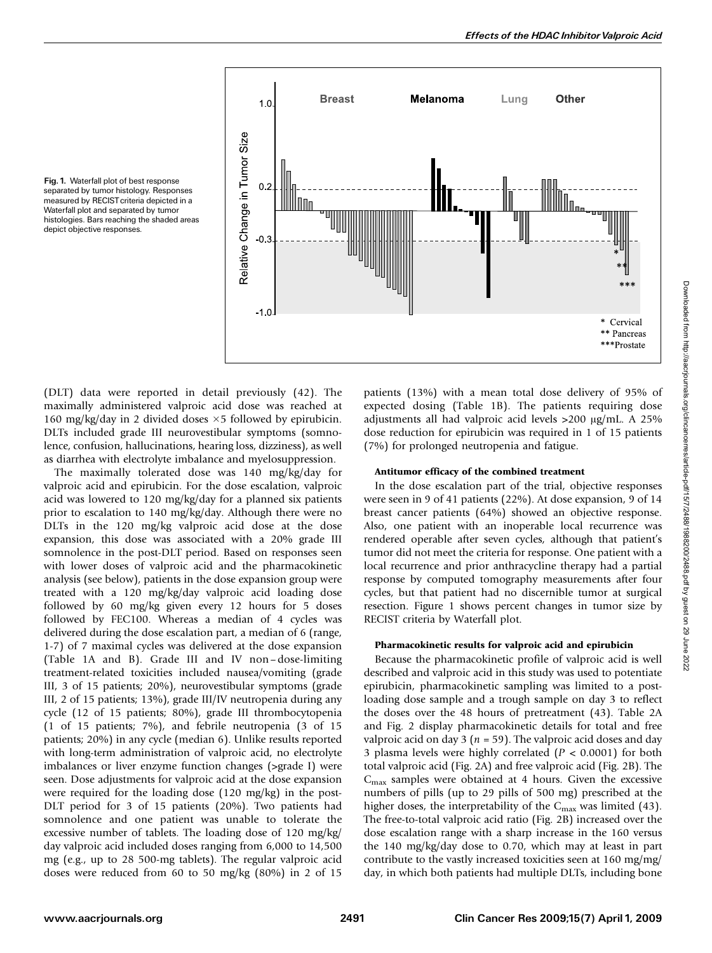

Fig. 1. Waterfall plot of best response separated by tumor histology. Responses measured by RECIST criteria depicted in a Waterfall plot and separated by tumor histologies. Bars reaching the shaded areas depict objective responses.

(DLT) data were reported in detail previously (42). The maximally administered valproic acid dose was reached at 160 mg/kg/day in 2 divided doses  $\times$  5 followed by epirubicin. DLTs included grade III neurovestibular symptoms (somnolence, confusion, hallucinations, hearing loss, dizziness), as well as diarrhea with electrolyte imbalance and myelosuppression.

The maximally tolerated dose was 140 mg/kg/day for valproic acid and epirubicin. For the dose escalation, valproic acid was lowered to 120 mg/kg/day for a planned six patients prior to escalation to 140 mg/kg/day. Although there were no DLTs in the 120 mg/kg valproic acid dose at the dose expansion, this dose was associated with a 20% grade III somnolence in the post-DLT period. Based on responses seen with lower doses of valproic acid and the pharmacokinetic analysis (see below), patients in the dose expansion group were treated with a 120 mg/kg/day valproic acid loading dose followed by 60 mg/kg given every 12 hours for 5 doses followed by FEC100. Whereas a median of 4 cycles was delivered during the dose escalation part, a median of 6 (range, 1-7) of 7 maximal cycles was delivered at the dose expansion (Table 1A and B). Grade III and IV non–dose-limiting treatment-related toxicities included nausea/vomiting (grade III, 3 of 15 patients; 20%), neurovestibular symptoms (grade III, 2 of 15 patients; 13%), grade III/IV neutropenia during any cycle (12 of 15 patients; 80%), grade III thrombocytopenia (1 of 15 patients; 7%), and febrile neutropenia (3 of 15 patients; 20%) in any cycle (median 6). Unlike results reported with long-term administration of valproic acid, no electrolyte imbalances or liver enzyme function changes (>grade I) were seen. Dose adjustments for valproic acid at the dose expansion were required for the loading dose (120 mg/kg) in the post-DLT period for 3 of 15 patients (20%). Two patients had somnolence and one patient was unable to tolerate the excessive number of tablets. The loading dose of 120 mg/kg/ day valproic acid included doses ranging from 6,000 to 14,500 mg (e.g., up to 28 500-mg tablets). The regular valproic acid doses were reduced from 60 to 50 mg/kg (80%) in 2 of 15 patients (13%) with a mean total dose delivery of 95% of expected dosing (Table 1B). The patients requiring dose adjustments all had valproic acid levels  $>200 \text{ µg/mL}$ . A 25% dose reduction for epirubicin was required in 1 of 15 patients (7%) for prolonged neutropenia and fatigue.

#### Antitumor efficacy of the combined treatment

In the dose escalation part of the trial, objective responses were seen in 9 of 41 patients (22%). At dose expansion, 9 of 14 breast cancer patients (64%) showed an objective response. Also, one patient with an inoperable local recurrence was rendered operable after seven cycles, although that patient's tumor did not meet the criteria for response. One patient with a local recurrence and prior anthracycline therapy had a partial response by computed tomography measurements after four cycles, but that patient had no discernible tumor at surgical resection. Figure 1 shows percent changes in tumor size by RECIST criteria by Waterfall plot.

#### Pharmacokinetic results for valproic acid and epirubicin

Because the pharmacokinetic profile of valproic acid is well described and valproic acid in this study was used to potentiate epirubicin, pharmacokinetic sampling was limited to a postloading dose sample and a trough sample on day 3 to reflect the doses over the 48 hours of pretreatment (43). Table 2A and Fig. 2 display pharmacokinetic details for total and free valproic acid on day 3 ( $n = 59$ ). The valproic acid doses and day 3 plasma levels were highly correlated  $(P < 0.0001)$  for both total valproic acid (Fig. 2A) and free valproic acid (Fig. 2B). The  $C_{\text{max}}$  samples were obtained at 4 hours. Given the excessive numbers of pills (up to 29 pills of 500 mg) prescribed at the higher doses, the interpretability of the  $C_{\text{max}}$  was limited (43). The free-to-total valproic acid ratio (Fig. 2B) increased over the dose escalation range with a sharp increase in the 160 versus the 140 mg/kg/day dose to 0.70, which may at least in part contribute to the vastly increased toxicities seen at 160 mg/mg/ day, in which both patients had multiple DLTs, including bone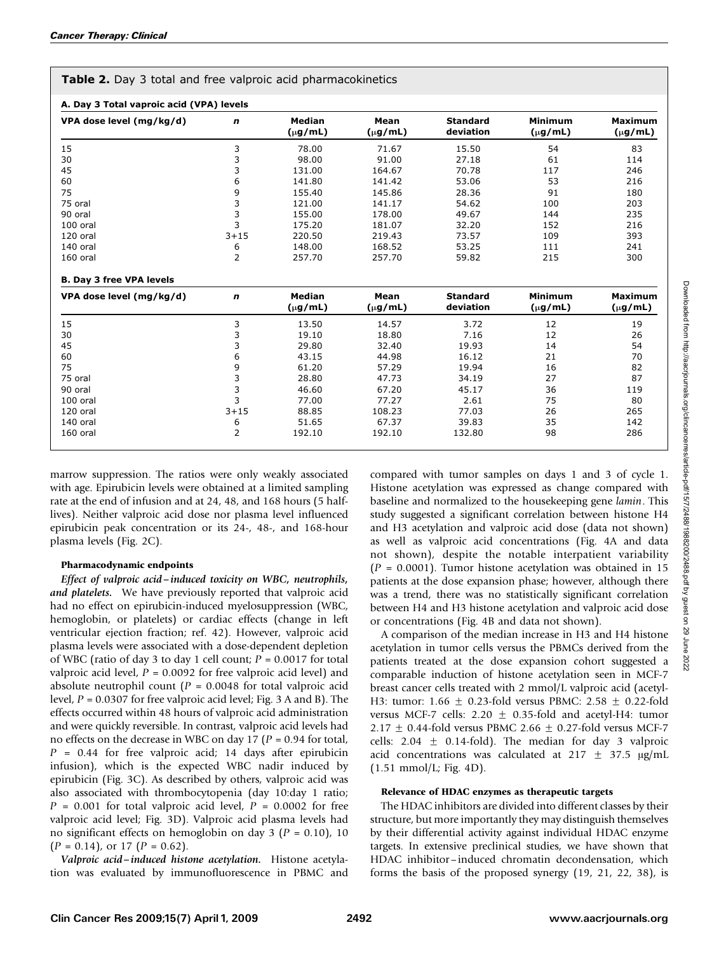| Table 2. Day 3 total and free valproic acid pharmacokinetics |  |
|--------------------------------------------------------------|--|
|--------------------------------------------------------------|--|

| VPA dose level (mg/kg/d)        | n              | Median<br>$(\mu g/mL)$        | Mean<br>$(\mu g/mL)$ | <b>Standard</b><br>deviation | <b>Minimum</b><br>$(\mu g/mL)$ | <b>Maximum</b><br>$(\mu g/mL)$ |
|---------------------------------|----------------|-------------------------------|----------------------|------------------------------|--------------------------------|--------------------------------|
| 15                              | 3              | 78.00                         | 71.67                | 15.50                        | 54                             | 83                             |
| 30                              | 3              | 98.00                         | 91.00                | 27.18                        | 61                             | 114                            |
| 45                              | 3              | 131.00                        | 164.67               | 70.78                        | 117                            | 246                            |
| 60                              | 6              | 141.80                        | 141.42               | 53.06                        | 53                             | 216                            |
| 75                              | 9              | 155.40                        | 145.86               | 28.36                        | 91                             | 180                            |
| 75 oral                         | 3              | 121.00                        | 141.17               | 54.62                        | 100                            | 203                            |
| 90 oral                         | 3              | 155.00                        | 178.00               | 49.67                        | 144                            | 235                            |
| 100 oral                        | 3              | 175.20                        | 181.07               | 32.20                        | 152                            | 216                            |
| 120 oral                        | $3 + 15$       | 220.50                        | 219.43               | 73.57                        | 109                            | 393                            |
| 140 oral                        | 6              | 148.00                        | 168.52               | 53.25                        | 111                            | 241                            |
| 160 oral                        | $\overline{2}$ | 257.70                        | 257.70               | 59.82                        | 215                            | 300                            |
| <b>B. Day 3 free VPA levels</b> |                |                               |                      |                              |                                |                                |
| VPA dose level (mg/kg/d)        | $\mathbf n$    | <b>Median</b><br>$(\mu g/mL)$ | Mean<br>$(\mu g/mL)$ | <b>Standard</b><br>deviation | <b>Minimum</b><br>$(\mu g/mL)$ | <b>Maximum</b><br>$(\mu g/mL)$ |
| 15                              | 3              | 13.50                         | 14.57                | 3.72                         | 12                             | 19                             |
| 30                              | 3              | 19.10                         | 18.80                | 7.16                         | 12                             | 26                             |
| 45                              | 3              | 29.80                         | 32.40                | 19.93                        | 14                             | 54                             |
| 60                              | 6              | 43.15                         | 44.98                | 16.12                        | 21                             | 70                             |
| 75                              | 9              | 61.20                         | 57.29                | 19.94                        | 16                             | 82                             |
| 75 oral                         | 3              | 28.80                         | 47.73                | 34.19                        | 27                             | 87                             |
| 90 oral                         | 3              | 46.60                         | 67.20                | 45.17                        | 36                             | 119                            |
| 100 oral                        | 3              | 77.00                         | 77.27                | 2.61                         | 75                             | 80                             |
| 120 oral                        | $3 + 15$       | 88.85                         | 108.23               | 77.03                        | 26                             | 265                            |
| 140 oral                        | 6              | 51.65                         | 67.37                | 39.83                        | 35                             | 142                            |
|                                 |                |                               |                      |                              |                                |                                |

marrow suppression. The ratios were only weakly associated with age. Epirubicin levels were obtained at a limited sampling rate at the end of infusion and at 24, 48, and 168 hours (5 halflives). Neither valproic acid dose nor plasma level influenced epirubicin peak concentration or its 24-, 48-, and 168-hour plasma levels (Fig. 2C).

#### Pharmacodynamic endpoints

Effect of valproic acid –induced toxicity on WBC, neutrophils, and platelets. We have previously reported that valproic acid had no effect on epirubicin-induced myelosuppression (WBC, hemoglobin, or platelets) or cardiac effects (change in left ventricular ejection fraction; ref. 42). However, valproic acid plasma levels were associated with a dose-dependent depletion of WBC (ratio of day 3 to day 1 cell count;  $P = 0.0017$  for total valproic acid level,  $P = 0.0092$  for free valproic acid level) and absolute neutrophil count ( $P = 0.0048$  for total valproic acid level,  $P = 0.0307$  for free valproic acid level; Fig. 3 A and B). The effects occurred within 48 hours of valproic acid administration and were quickly reversible. In contrast, valproic acid levels had no effects on the decrease in WBC on day 17 ( $P = 0.94$  for total,  $P = 0.44$  for free valproic acid; 14 days after epirubicin infusion), which is the expected WBC nadir induced by epirubicin (Fig. 3C). As described by others, valproic acid was also associated with thrombocytopenia (day 10:day 1 ratio;  $P = 0.001$  for total valproic acid level,  $P = 0.0002$  for free valproic acid level; Fig. 3D). Valproic acid plasma levels had no significant effects on hemoglobin on day 3 ( $P = 0.10$ ), 10  $(P = 0.14)$ , or 17  $(P = 0.62)$ .

Valproic acid –induced histone acetylation. Histone acetylation was evaluated by immunofluorescence in PBMC and compared with tumor samples on days 1 and 3 of cycle 1. Histone acetylation was expressed as change compared with baseline and normalized to the housekeeping gene lamin. This study suggested a significant correlation between histone H4 and H3 acetylation and valproic acid dose (data not shown) as well as valproic acid concentrations (Fig. 4A and data not shown), despite the notable interpatient variability  $(P = 0.0001)$ . Tumor histone acetylation was obtained in 15 patients at the dose expansion phase; however, although there was a trend, there was no statistically significant correlation between H4 and H3 histone acetylation and valproic acid dose or concentrations (Fig. 4B and data not shown).

A comparison of the median increase in H3 and H4 histone acetylation in tumor cells versus the PBMCs derived from the patients treated at the dose expansion cohort suggested a comparable induction of histone acetylation seen in MCF-7 breast cancer cells treated with 2 mmol/L valproic acid (acetyl-H3: tumor: 1.66  $\pm$  0.23-fold versus PBMC: 2.58  $\pm$  0.22-fold versus MCF-7 cells:  $2.20 \pm 0.35$ -fold and acetyl-H4: tumor 2.17  $\pm$  0.44-fold versus PBMC 2.66  $\pm$  0.27-fold versus MCF-7 cells:  $2.04 \pm 0.14$ -fold). The median for day 3 valproic acid concentrations was calculated at 217  $\pm$  37.5  $\mu$ g/mL (1.51 mmol/L; Fig. 4D).

#### Relevance of HDAC enzymes as therapeutic targets

The HDAC inhibitors are divided into different classes by their structure, but more importantly they may distinguish themselves by their differential activity against individual HDAC enzyme targets. In extensive preclinical studies, we have shown that HDAC inhibitor-induced chromatin decondensation, which forms the basis of the proposed synergy (19, 21, 22, 38), is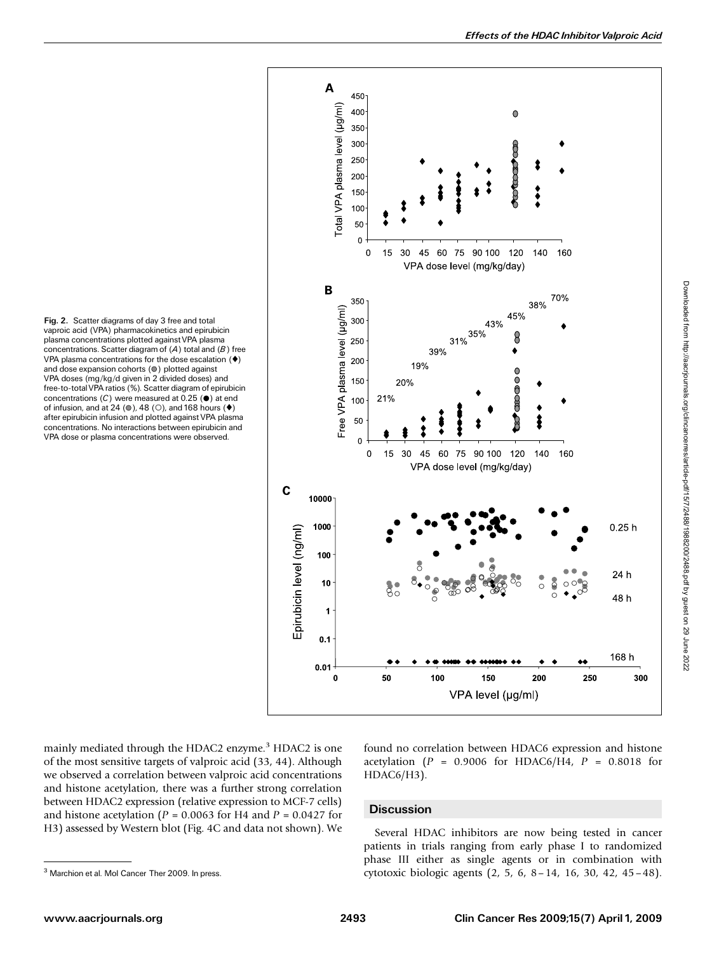VPA plasma concentrations for the dose escalation  $($   $\blacklozenge)$ and dose expansion cohorts  $(①)$  plotted against VPA doses (mg/kg/d given in 2 divided doses) and concentrations  $(C)$  were measured at 0.25 ( $\bullet$ ) at end of infusion, and at 24 ( $\circ$ ), 48 ( $\circ$ ), and 168 hours ( $\bullet$ ) after epirubicin infusion and plotted against VPA plasma concentrations. No interactions between epirubicin and VPA dose or plasma concentrations were observed.

Fig. 2. Scatter diagrams of day 3 free and total



vaproic acid (VPA) pharmacokinetics and epirubicin plasma concentrations plotted against VPA plasma concentrations. Scatter diagram of  $(A)$  total and  $(B)$  free free-to-totalVPA ratios (%). Scatter diagram of epirubicin

mainly mediated through the HDAC2 enzyme.<sup>3</sup> HDAC2 is one of the most sensitive targets of valproic acid (33, 44). Although we observed a correlation between valproic acid concentrations and histone acetylation, there was a further strong correlation between HDAC2 expression (relative expression to MCF-7 cells) and histone acetylation ( $P = 0.0063$  for H4 and  $P = 0.0427$  for H3) assessed by Western blot (Fig. 4C and data not shown). We

found no correlation between HDAC6 expression and histone acetylation ( $P = 0.9006$  for HDAC6/H4,  $P = 0.8018$  for HDAC6/H3).

#### **Discussion**

Several HDAC inhibitors are now being tested in cancer patients in trials ranging from early phase I to randomized phase III either as single agents or in combination with <sup>3</sup> Marchion et al. Mol Cancer Ther 2009. In press. **3 Cytotoxic biologic agents** (2, 5, 6, 8 – 14, 16, 30, 42, 45 – 48).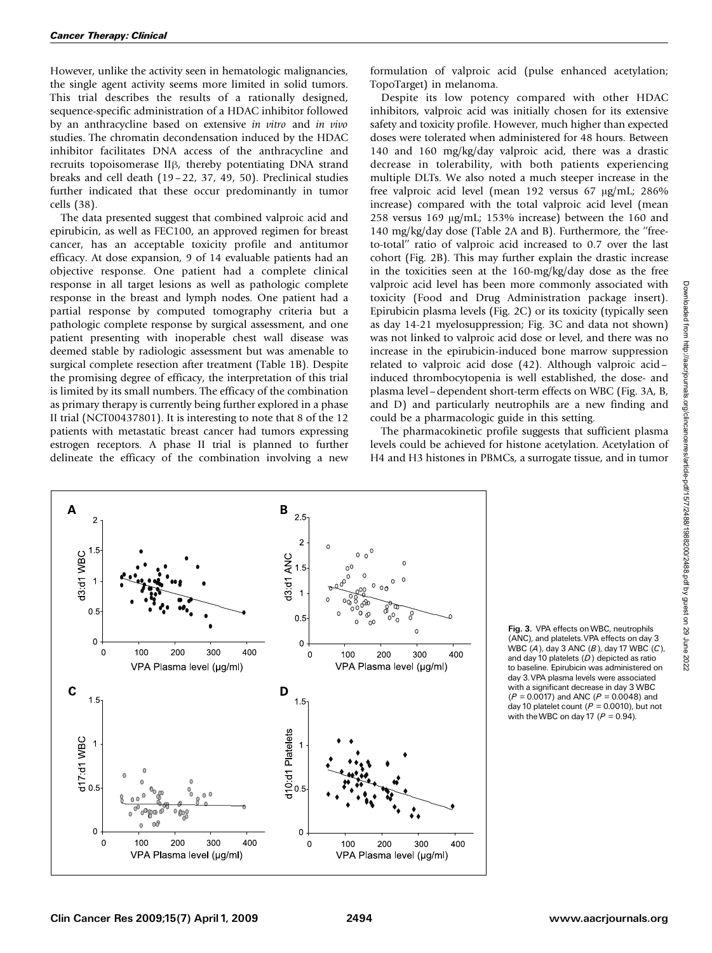However, unlike the activity seen in hematologic malignancies, the single agent activity seems more limited in solid tumors. This trial describes the results of a rationally designed, sequence-specific administration of a HDAC inhibitor followed by an anthracycline based on extensive in vitro and in vivo studies. The chromatin decondensation induced by the HDAC inhibitor facilitates DNA access of the anthracycline and recruits topoisomerase II<sub>B</sub>, thereby potentiating DNA strand breaks and cell death (19 – 22, 37, 49, 50). Preclinical studies further indicated that these occur predominantly in tumor cells (38).

The data presented suggest that combined valproic acid and epirubicin, as well as FEC100, an approved regimen for breast cancer, has an acceptable toxicity profile and antitumor efficacy. At dose expansion, 9 of 14 evaluable patients had an objective response. One patient had a complete clinical response in all target lesions as well as pathologic complete response in the breast and lymph nodes. One patient had a partial response by computed tomography criteria but a pathologic complete response by surgical assessment, and one patient presenting with inoperable chest wall disease was deemed stable by radiologic assessment but was amenable to surgical complete resection after treatment (Table 1B). Despite the promising degree of efficacy, the interpretation of this trial is limited by its small numbers. The efficacy of the combination as primary therapy is currently being further explored in a phase II trial (NCT00437801). It is interesting to note that 8 of the 12 patients with metastatic breast cancer had tumors expressing estrogen receptors. A phase II trial is planned to further delineate the efficacy of the combination involving a new

formulation of valproic acid (pulse enhanced acetylation; TopoTarget) in melanoma.

Despite its low potency compared with other HDAC inhibitors, valproic acid was initially chosen for its extensive safety and toxicity profile. However, much higher than expected doses were tolerated when administered for 48 hours. Between 140 and 160 mg/kg/day valproic acid, there was a drastic decrease in tolerability, with both patients experiencing multiple DLTs. We also noted a much steeper increase in the free valproic acid level (mean 192 versus 67 µg/mL; 286% increase) compared with the total valproic acid level (mean 258 versus 169  $\mu$ g/mL; 153% increase) between the 160 and 140 mg/kg/day dose (Table 2A and B). Furthermore, the ''freeto-total'' ratio of valproic acid increased to 0.7 over the last cohort (Fig. 2B). This may further explain the drastic increase in the toxicities seen at the 160-mg/kg/day dose as the free valproic acid level has been more commonly associated with toxicity (Food and Drug Administration package insert). Epirubicin plasma levels (Fig. 2C) or its toxicity (typically seen as day 14-21 myelosuppression; Fig. 3C and data not shown) was not linked to valproic acid dose or level, and there was no increase in the epirubicin-induced bone marrow suppression related to valproic acid dose (42). Although valproic acid– induced thrombocytopenia is well established, the dose- and plasma level–dependent short-term effects on WBC (Fig. 3A, B, and D) and particularly neutrophils are a new finding and could be a pharmacologic guide in this setting.

The pharmacokinetic profile suggests that sufficient plasma levels could be achieved for histone acetylation. Acetylation of H4 and H3 histones in PBMCs, a surrogate tissue, and in tumor



Fig. 3. VPA effects onWBC, neutrophils (ANC), and platelets. VPA effects on day 3 WBC  $(A)$ , day 3 ANC  $(B)$ , day 17 WBC  $(C)$ , and day 10 platelets  $(D)$  depicted as ratio to baseline. Epirubicin was administered on day 3.VPA plasma levels were associated with a significant decrease in day 3 WBC  $(P = 0.0017)$  and ANC  $(P = 0.0048)$  and day 10 platelet count ( $\vec{P} = 0.0010$ ), but not with the WBC on day 17 ( $P = 0.94$ ).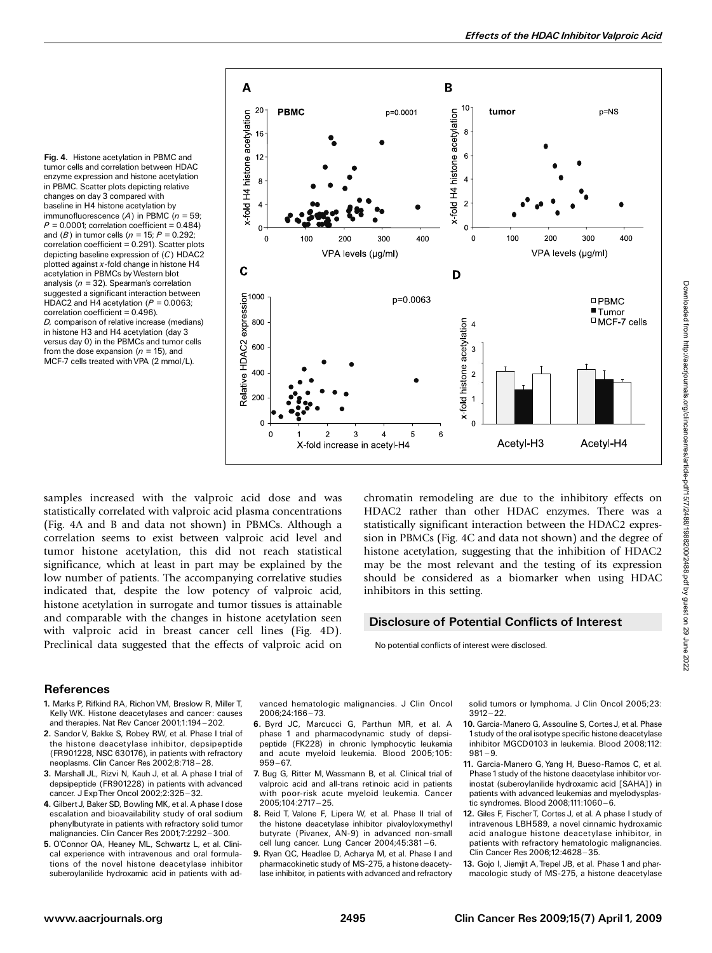Fig. 4. Histone acetylation in PBMC and tumor cells and correlation between HDAC enzyme expression and histone acetylation in PBMC. Scatter plots depicting relative changes on day 3 compared with baseline in H4 histone acetylation by immunofluorescence (A) in PBMC ( $n = 59$ ;  $P = 0.0001$ ; correlation coefficient = 0.484) and (B) in tumor cells ( $n = 15$ ;  $P = 0.292$ ;  $correlation coefficient = 0.291$ ). Scatter plots depicting baseline expression of (C) HDAC2 plotted against  $x$ -fold change in histone H4 acetylation in PBMCs byWestern blot analysis ( $n = 32$ ). Spearman's correlation suggested a significant interaction between HDAC2 and H4 acetylation ( $P = 0.0063$ ; correlation coefficient = 0.496). D, comparison of relative increase (medians) in histone H3 and H4 acetylation (day 3 versus day 0) in the PBMCs and tumor cells from the dose expansion ( $n = 15$ ), and MCF-7 cells treated with VPA (2 mmol/L).



samples increased with the valproic acid dose and was statistically correlated with valproic acid plasma concentrations (Fig. 4A and B and data not shown) in PBMCs. Although a correlation seems to exist between valproic acid level and tumor histone acetylation, this did not reach statistical significance, which at least in part may be explained by the low number of patients. The accompanying correlative studies indicated that, despite the low potency of valproic acid, histone acetylation in surrogate and tumor tissues is attainable and comparable with the changes in histone acetylation seen with valproic acid in breast cancer cell lines (Fig. 4D). Preclinical data suggested that the effects of valproic acid on chromatin remodeling are due to the inhibitory effects on HDAC2 rather than other HDAC enzymes. There was a statistically significant interaction between the HDAC2 expression in PBMCs (Fig. 4C and data not shown) and the degree of histone acetylation, suggesting that the inhibition of HDAC2 may be the most relevant and the testing of its expression should be considered as a biomarker when using HDAC inhibitors in this setting.

## Disclosure of Potential Conflicts of Interest

No potential conflicts of interest were disclosed.

#### **References**

- 1. Marks P, Rifkind RA, Richon VM, Breslow R, Miller T, Kelly WK. Histone deacetylases and cancer: causes and therapies. Nat Rev Cancer 2001;1:194-202.
- 2. Sandor V, Bakke S, Robey RW, et al. Phase I trial of the histone deacetylase inhibitor, depsipeptide (FR901228, NSC 630176), in patients with refractory neoplasms. Clin Cancer Res 2002;8:718-28.
- 3. Marshall JL, Rizvi N, Kauh J, et al. A phase I trial of depsipeptide (FR901228) in patients with advanced cancer. J ExpTher Oncol 2002;2:325 ^ 32.
- 4. GilbertJ, Baker SD, Bowling MK, et al. A phase I dose escalation and bioavailability study of oral sodium phenylbutyrate in patients with refractory solid tumor malignancies. Clin Cancer Res 2001;7:2292-300.
- 5. O'Connor OA, Heaney ML, Schwartz L, et al. Clinical experience with intravenous and oral formulations of the novel histone deacetylase inhibitor suberoylanilide hydroxamic acid in patients with ad-

vanced hematologic malignancies. J Clin Oncol 2006;24:166 ^ 73.

- 6. Byrd JC, Marcucci G, Parthun MR, et al. A phase 1 and pharmacodynamic study of depsipeptide (FK228) in chronic lymphocytic leukemia and acute myeloid leukemia. Blood 2005;105:  $959 - 67.$
- 7. Bug G, Ritter M, Wassmann B, et al. Clinical trial of valproic acid and all-trans retinoic acid in patients with poor-risk acute myeloid leukemia. Cancer 2005;104:2717 ^ 25.
- 8. Reid T, Valone F, Lipera W, et al. Phase II trial of the histone deacetylase inhibitor pivaloyloxymethyl butyrate (Pivanex, AN-9) in advanced non-small cell lung cancer. Lung Cancer 2004;45:381-6.
- 9. Ryan QC, Headlee D, Acharya M, et al. Phase I and pharmacokinetic study of MS-275, a histone deacetylase inhibitor, in patients with advanced and refractory

solid tumors or lymphoma. J Clin Oncol 2005;23:  $3912 - 22.$ 

- 10. Garcia-Manero G, Assouline S, CortesJ, et al. Phase 1study of the oral isotype specific histone deacetylase inhibitor MGCD0103 in leukemia. Blood 2008;112:  $981 - 9.$
- 11. Garcia-Manero G, Yang H, Bueso-Ramos C, et al. Phase 1study of the histone deacetylase inhibitor vorinostat (suberoylanilide hydroxamic acid [SAHA]) in patients with advanced leukemias and myelodysplastic syndromes. Blood 2008;111:1060-6.
- 12. Giles F, FischerT, Cortes J, et al. A phase I study of intravenous LBH589, a novel cinnamic hydroxamic acidanalogue histone deacetylase inhibitor, in patients with refractory hematologic malignancies. Clin Cancer Res 2006;12:4628-35.
- 13. Gojo I, Jiemjit A, Trepel JB, et al. Phase 1 and pharmacologic study of MS-275, a histone deacetylase